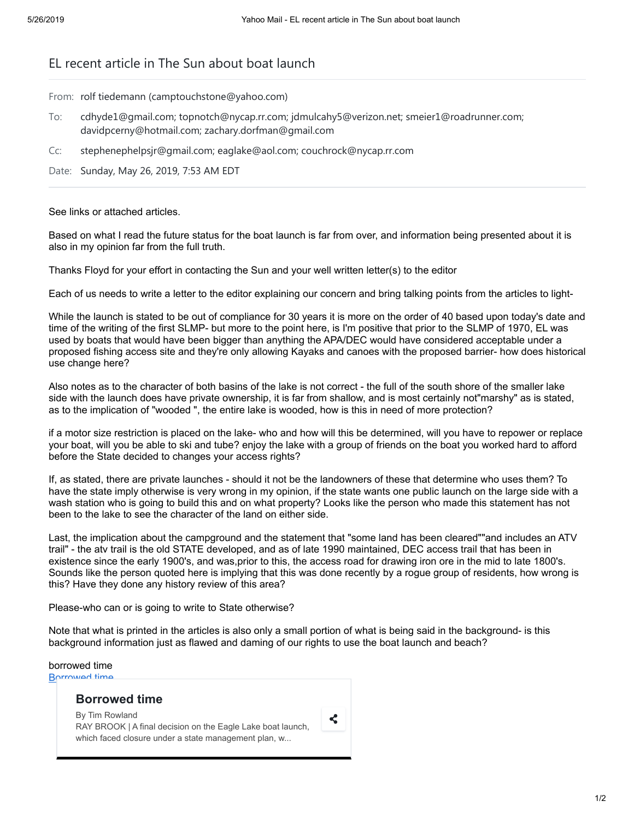## EL recent article in The Sun about boat launch

From: rolf tiedemann (camptouchstone@yahoo.com)

- To: cdhyde1@gmail.com; topnotch@nycap.rr.com; jdmulcahy5@verizon.net; smeier1@roadrunner.com; davidpcerny@hotmail.com; zachary.dorfman@gmail.com
- Cc: stephenephelpsjr@gmail.com; eaglake@aol.com; couchrock@nycap.rr.com

Date: Sunday, May 26, 2019, 7:53 AM EDT

## See links or attached articles.

Based on what I read the future status for the boat launch is far from over, and information being presented about it is also in my opinion far from the full truth.

Thanks Floyd for your effort in contacting the Sun and your well written letter(s) to the editor

Each of us needs to write a letter to the editor explaining our concern and bring talking points from the articles to light-

While the launch is stated to be out of compliance for 30 years it is more on the order of 40 based upon today's date and time of the writing of the first SLMP- but more to the point here, is I'm positive that prior to the SLMP of 1970, EL was used by boats that would have been bigger than anything the APA/DEC would have considered acceptable under a proposed fishing access site and they're only allowing Kayaks and canoes with the proposed barrier- how does historical use change here?

Also notes as to the character of both basins of the lake is not correct - the full of the south shore of the smaller lake side with the launch does have private ownership, it is far from shallow, and is most certainly not"marshy" as is stated, as to the implication of "wooded ", the entire lake is wooded, how is this in need of more protection?

if a motor size restriction is placed on the lake- who and how will this be determined, will you have to repower or replace your boat, will you be able to ski and tube? enjoy the lake with a group of friends on the boat you worked hard to afford before the State decided to changes your access rights?

If, as stated, there are private launches - should it not be the landowners of these that determine who uses them? To have the state imply otherwise is very wrong in my opinion, if the state wants one public launch on the large side with a wash station who is going to build this and on what property? Looks like the person who made this statement has not been to the lake to see the character of the land on either side.

Last, the implication about the campground and the statement that "some land has been cleared""and includes an ATV trail" - the atv trail is the old STATE developed, and as of late 1990 maintained, DEC access trail that has been in existence since the early 1900's, and was,prior to this, the access road for drawing iron ore in the mid to late 1800's. Sounds like the person quoted here is implying that this was done recently by a rogue group of residents, how wrong is this? Have they done any history review of this area?

Please-who can or is going to write to State otherwise?

Note that what is printed in the articles is also only a small portion of what is being said in the background- is this background information just as flawed and daming of our rights to use the boat launch and beach?

| borrowed time<br><b>Rorrowed time</b>                                                                                                 |   |
|---------------------------------------------------------------------------------------------------------------------------------------|---|
| <b>Borrowed time</b>                                                                                                                  |   |
| By Tim Rowland<br>RAY BROOK   A final decision on the Eagle Lake boat launch,<br>which faced closure under a state management plan, w | ሩ |